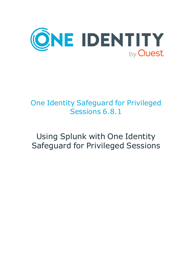

# One Identity Safeguard for Privileged Sessions 6.8.1

# Using Splunk with One Identity Safeguard for Privileged Sessions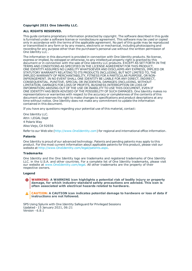#### **Copyright 2021 One Identity LLC.**

#### **ALL RIGHTS RESERVED.**

This guide contains proprietary information protected by copyright. The software described in this guide is furnished under a software license or nondisclosure agreement. This software may be used or copied only in accordance with the terms of the applicable agreement. No part of this guide may be reproduced or transmitted in any form or by any means, electronic or mechanical, including photocopying and recording for any purpose other than the purchaser's personal use without the written permission of One Identity LLC .

The information in this document is provided in connection with One Identity products. No license, express or implied, by estoppel or otherwise, to any intellectual property right is granted by this document or in connection with the sale of One Identity LLC products. EXCEPT AS SET FORTH IN THE TERMS AND CONDITIONS AS SPECIFIED IN THE LICENSE AGREEMENT FOR THIS PRODUCT, ONE IDENTITY ASSUMES NO LIABILITY WHATSOEVER AND DISCLAIMS ANY EXPRESS, IMPLIED OR STATUTORY WARRANTY RELATING TO ITS PRODUCTS INCLUDING, BUT NOT LIMITED TO, THE IMPLIED WARRANTY OF MERCHANTABILITY, FITNESS FOR A PARTICULAR PURPOSE, OR NON-INFRINGEMENT. IN NO EVENT SHALL ONE IDENTITY BE LIABLE FOR ANY DIRECT, INDIRECT, CONSEQUENTIAL, PUNITIVE, SPECIAL OR INCIDENTAL DAMAGES (INCLUDING, WITHOUT LIMITATION, DAMAGES FOR LOSS OF PROFITS, BUSINESS INTERRUPTION OR LOSS OF INFORMATION) ARISING OUT OF THE USE OR INABILITY TO USE THIS DOCUMENT, EVEN IF ONE IDENTITY HAS BEEN ADVISED OF THE POSSIBILITY OF SUCH DAMAGES. One Identity makes no representations or warranties with respect to the accuracy or completeness of the contents of this document and reserves the right to make changes to specifications and product descriptions at any time without notice. One Identity does not make any commitment to update the information contained in this document.

If you have any questions regarding your potential use of this material, contact:

One Identity LLC. Attn: LEGAL Dept 4 Polaris Way Aliso Viejo, CA 92656

Refer to our Web site ([http://www.OneIdentity.com](http://www.oneidentity.com/)) for regional and international office information.

#### **Patents**

One Identity is proud of our advanced technology. Patents and pending patents may apply to this product. For the most current information about applicable patents for this product, please visit our website at [http://www.OneIdentity.com/legal/patents.aspx](http://www.oneidentity.com/legal/patents.aspx).

#### **Trademarks**

One Identity and the One Identity logo are trademarks and registered trademarks of One Identity LLC. in the U.S.A. and other countries. For a complete list of One Identity trademarks, please visit our website at [www.OneIdentity.com/legal](http://www.oneidentity.com/legal). All other trademarks are the property of their respective owners.

#### **Legend**

**WARNING: A WARNING icon highlights a potential risk of bodily injury or property damage, for which industry-standard safety precautions are advised. This icon is often associated with electrical hazards related to hardware.**

**CAUTION: A CAUTION icon indicates potential damage to hardware or loss of data if** A **instructions are not followed.**

SPS Using Splunk with One Identity Safeguard for Privileged Sessions Updated - 15 January 2021, 06:21 Version - 6.8.1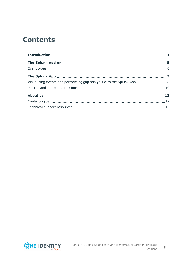## **Contents**

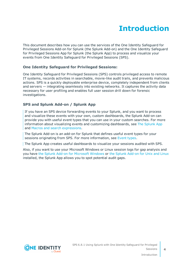# **Introduction**

<span id="page-3-0"></span>This document describes how you can use the services of the One Identity Safeguard for Privileged Sessions Add-on for Splunk (the Splunk Add-on) and the One Identity Safeguard for Privileged Sessions App for Splunk (the Splunk App) to process and visualize your events from One Identity Safeguard for Privileged Sessions (SPS).

## **One Identity Safeguard for Privileged Sessions:**

One Identity Safeguard for Privileged Sessions (SPS) controls privileged access to remote IT systems, records activities in searchable, movie-like audit trails, and prevents malicious actions. SPS is a quickly deployable enterprise device, completely independent from clients and servers — integrating seamlessly into existing networks. It captures the activity data necessary for user profiling and enables full user session drill down for forensic investigations.

### **SPS and Splunk Add-on / Splunk App**

If you have an SPS device forwarding events to your Splunk, and you want to process and visualize these events with your own, custom dashboards, the Splunk Add-on can provide you with useful event types that you can use in your custom searches. For more information about visualizing events and customizing dashboards, see The [Splunk](#page-6-0) App and Macros and search [expressions](#page-9-0).

The Splunk Add-on is an add-on for Splunk that defines useful event types for your sessions originating from SPS. For more information, see [Event](#page-5-0) types.

The Splunk App creates useful dashboards to visualize your sessions audited with SPS.

Also, if you want to use your Microsoft Windows or Linux session logs for gap analysis and you have the Splunk Add-on for [Microsoft](https://splunkbase.splunk.com/app/742/) Windows or the Splunk [Add-on](https://splunkbase.splunk.com/app/833/) for Unix and Linux installed, the Splunk App allows you to spot potential audit gaps.

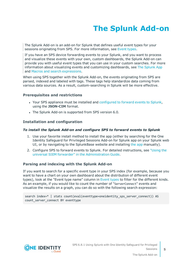# **The Splunk Add-on**

<span id="page-4-0"></span>The Splunk Add-on is an add-on for Splunk that defines useful event types for your sessions originating from SPS. For more information, see [Event](#page-5-0) types.

If you have an SPS device forwarding events to your Splunk, and you want to process and visualize these events with your own, custom dashboards, the Splunk Add-on can provide you with useful event types that you can use in your custom searches. For more information about visualizing events and customizing dashboards, see The [Splunk](#page-6-0) App and Macros and search [expressions](#page-9-0).

When using SPS together with the Splunk Add-on, the events originating from SPS are parsed, indexed and labeled with tags. These tags help standardize data coming from various data sources. As a result, custom-searching in Splunk will be more effective.

### **Prerequisites and restrictions**

- Your SPS appliance must be installed and [configured](https://support.oneidentity.com/technical-documents/safeguard-for-privileged-sessions/6.8.1/administration-guide/basic-settings/forwarding-data-to-third-party-systems/) to forward events to Splunk, using the **JSON-CIM** format.
- The Splunk Add-on is supported from SPS version 6.0.

### **Installation and configuration**

#### *To install the Splunk Add-on and configure SPS to forward events to Splunk*

- 1. Use your favorite install method to install the app (either by searching for the One Identity Safeguard for Privileged Sessions Add-on for Splunk app on your Splunk web UI, or by navigating to the SplunkBase website and installing the [app](https://splunkbase.splunk.com/app/4502/) manually).
- 2. Configure SPS to forward events to Splunk. For detailed instructions, see ["Using](https://support.oneidentity.com/technical-documents/safeguard-for-privileged-sessions/6.8.1/administration-guide/basic-settings/forwarding-data-to-third-party-systems/using-the-universal-siem-forwarder/) the universal SIEM forwarder" in the [Administration](https://support.oneidentity.com/technical-documents/safeguard-for-privileged-sessions/6.8.1/administration-guide/basic-settings/forwarding-data-to-third-party-systems/using-the-universal-siem-forwarder/) Guide.

#### **Parsing and indexing with the Splunk Add-on**

If you want to search for a specific event type in your SPS index (for example, because you want to have a chart on your own dashboard about the distribution of different event types), look at the "Event type name" column in [Event](#page-5-0) types to filter for the different kinds. As an example, if you would like to count the number of "ServerConnect" events and visualize the results on a graph, you can do so with the following search expression:

search index=\* | stats count(eval(eventtype=oneidentity\_sps\_server\_connect)) AS count server connect BY eventtype

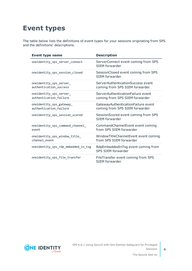## <span id="page-5-0"></span>**Event types**

The table below lists the definitions of event types for your sessions originating from SPS and the definitions' descriptions.

| <b>Event type name</b>                             | <b>Description</b>                                                   |
|----------------------------------------------------|----------------------------------------------------------------------|
| oneidentity_sps_server_connect                     | ServerConnect event coming from SPS<br>SIEM forwarder                |
| oneidentity_sps_session_closed                     | SessionClosed event coming from SPS<br>SIFM forwarder                |
| oneidentity_sps_server_<br>authentication_success  | ServerAuthenticationSuccess event<br>coming from SPS SIEM forwarder  |
| oneidentity_sps_server_<br>authentication_failure  | ServerAuthenticationFailure event<br>coming from SPS SIEM forwarder  |
| oneidentity_sps_gateway_<br>authentication_failure | GatewayAuthenticationFailure event<br>coming from SPS SIEM forwarder |
| oneidentity_sps_session_scored                     | SessionScored event coming from SPS<br>SIEM forwarder                |
| oneidentity_sps_command_channel_<br>event          | CommandChannelEvent event coming<br>from SPS SIEM forwarder          |
| oneidentity_sps_window_title_<br>channel_event     | WindowTitleChannelEvent event coming<br>from SPS SIEM forwarder      |
| oneidentity_sps_rdp_embedded_in_tsg                | RdpEmbeddedInTsg event coming from<br>SPS SIEM forwarder             |
| oneidentity_sps_file_transfer                      | FileTransfer event coming from SPS<br><b>SIEM forwarder</b>          |

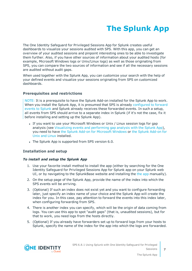# **The Splunk App**

<span id="page-6-0"></span>The One Identity Safeguard for Privileged Sessions App for Splunk creates useful dashboards to visualize your sessions audited with SPS. With this app, you can get an overview of your audited sessions and pinpoint interesting ones to be able to investigate them further. Also, if you have other sources of information about your audited hosts (for example, Microsoft Windows logs or Unix/Linux logs) as well as those originating from SPS, you can compare the two sources of information and see if all the necessary sessions are audited without audit gaps.

When used together with the Splunk App, you can customize your search with the help of your defined events and visualize your sessions originating from SPS on customized dashboards.

### **Prerequisites and restrictions**

NOTE: It is a prerequisite to have the Splunk Add-on installed for the Splunk App to work. When you install the Splunk App, it is presumed that SPS is already [configured](https://support.oneidentity.com/technical-documents/safeguard-for-privileged-sessions/6.8.1/administration-guide/basic-settings/forwarding-data-to-third-party-systems/) to forward events to [Splunk](https://support.oneidentity.com/technical-documents/safeguard-for-privileged-sessions/6.8.1/administration-guide/basic-settings/forwarding-data-to-third-party-systems/) and Splunk already receives these forwarded events. In such a setup, all events from SPS should arrive to a separate index in Splunk (if it's not the case, fix it before installing and setting up the Splunk App).

- If you want to use your Microsoft Windows or Unix / Linux session logs for gap analysis (see Visualizing events and [performing](#page-7-0) gap analysis with the Splunk App), you need to have the Splunk Add-on for [Microsoft](https://splunkbase.splunk.com/app/742/) Windows or the Splunk [Add-on](https://splunkbase.splunk.com/app/833/) for Unix and [Linux](https://splunkbase.splunk.com/app/833/) installed.
- The Splunk App is supported from SPS version 6.0.

## **Installation and setup**

### *To install and setup the Splunk App*

- 1. Use your favorite install method to install the app (either by searching for the One Identity Safeguard for Privileged Sessions App for Splunk app on your Splunk web UI, or by navigating to the SplunkBase website and installing the the [app](https://splunkbase.splunk.com/app/4503/) manually).
- 2. On the setup page of the Splunk App, provide the name of the index into which the SPS events will be arriving.
- 3. (Optional) If such an index does not exist yet and you want to configure forwarding later, just specify an index name of your choice and the Splunk App will create the index for you. In this case, pay attention to forward the events into this index later, when configuring forwarding from SPS.
- 4. There is another index you can specify, which will be the origin of data coming from logs. You can use this app to spot "audit gaps" (that is, unaudited sessions), but for that to work, you need logs from the hosts directly.
- 5. (Optional) If you already have forwarders set up to forward logs from your hosts to Splunk, specify the name of the index for the app into which the logs are forwarded.

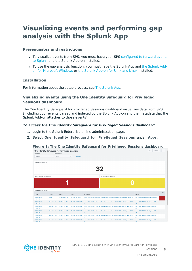## <span id="page-7-0"></span>**Visualizing events and performing gap analysis with the Splunk App**

### **Prerequisites and restrictions**

- To visualize events from SPS, you must have your SPS [configured](https://support.oneidentity.com/technical-documents/safeguard-for-privileged-sessions/6.8.1/administration-guide/basic-settings/forwarding-data-to-third-party-systems/) to forward events to [Splunk](https://support.oneidentity.com/technical-documents/safeguard-for-privileged-sessions/6.8.1/administration-guide/basic-settings/forwarding-data-to-third-party-systems/) and the Splunk Add-on installed.
- To use the gap analysis function, you must have the [Splunk](https://splunkbase.splunk.com/app/742/) App and the Splunk Addon for [Microsoft](https://splunkbase.splunk.com/app/742/) Windows or the Splunk [Add-on](https://splunkbase.splunk.com/app/833/) for Unix and Linux installed.

### **Installation**

For information about the setup process, see The [Splunk](#page-6-0) App.

## **Visualizing events using the One Identity Safeguard for Privileged Sessions dashboard**

The One Identity Safeguard for Privileged Sessions dashboard visualizes data from SPS (including your events parsed and indexed by the Splunk Add-on and the metadata that the Splunk Add-on attaches to those events).

#### *To access the One Identity Safeguard for Privileged Sessions dashboard*

- 1. Login to the Splunk Enterprise online administration page.
- 2. Select **One Identity Safeguard for Privileged Sessions** under **Apps**.

#### **Figure 1: The One Identity Safeguard for Privileged Sessions dashboard**



SPS 6.8.1 Using Splunk with One Identity Safeguard for Privileged Sessions



The Splunk App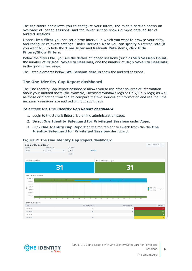The top filters bar allows you to configure your filters, the middle section shows an overview of logged sessions, and the lower section shows a more detailed list of audited sessions.

Under **Time filter** you can set a time interval in which you want to browse your data, and configure relevant settings. Under **Refresh Rate** you can specify a refresh rate (if you want to). To hide the **Time filter** and **Refresh Rate** items, click **Hide Filters/Show Filters**.

Below the filters bar, you see the details of logged sessions (such as **SPS Session Count**, the number of **Critical Severity Sessions**, and the number of **High Severity Sessions**) in the given time range.

The listed elements below **SPS Session details** show the audited sessions.

### **The One Identity Gap Report dashboard**

The One Identity Gap Report dashboard allows you to use other sources of information about your audited hosts (for example, Microsoft Windows logs or Unix/Linux logs) as well as those originating from SPS to compare the two sources of information and see if all the necessary sessions are audited without audit gaps

#### *To access the One Identity Gap Report dashboard*

- 1. Login to the Splunk Enterprise online administration page.
- 2. Select **One Identity Safeguard for Privileged Sessions** under **Apps**.
- 3. Click **One Identity Gap Report** on the top tab bar to switch from the the **One Identity Safeguard for Privileged Sessions** dashboard.



#### **Figure 2: The One Identity Gap Report dashboard**

SPS 6.8.1 Using Splunk with One Identity Safeguard for Privileged Sessions

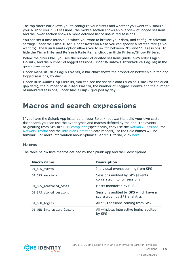The top filters bar allows you to configure your filters and whether you want to visualize your RDP or your SSH sessions, the middle section shows an overview of logged sessions, and the lower section shows a more detailed list of unaudited sessions.

You can set a time interval in which you want to browse your data, and configure relevant settings under the **Time filter**. Under **Refresh Rate** you can specify a refresh rate (if you want to). The **Run Panels** option allows you to switch between RDP and SSH sessions. To hide the **Time filter**and **Refresh Rate** items, click the **Hide Filters/Show Filters**.

Below the filters bar, you see the number of audited sessions (under **SPS RDP Login Count**), and the number of logged sessions (under **Windows Interactive Logins**) in the given time range.

Under **Gaps in RDP Login Events**, a bar chart shows the proportion between audited and logged sessions, by day.

Under **RDP Audit Gap Details**, you can see the specific data (such as **Time** (for the audit gap date), the number of **Audited Events**, the number of **Logged Events** and the number of unaudited sessions, under **Audit Gap**), grouped by day.

## <span id="page-9-0"></span>**Macros and search expressions**

If you have the Splunk App installed on your Splunk, but want to build your own custom dashboard, you can use the event types and macros defined by the app. The events originating from SPS are [CIM-compliant](https://docs.splunk.com/Documentation/CIM/4.13.0/User/Overview) (specifically, they use the Network [Sessions](https://docs.splunk.com/Documentation/CIM/4.13.0/User/NetworkSessions), the [Network](https://docs.splunk.com/Documentation/CIM/4.13.0/User/NetworkTraffic) Traffic and the Intrusion [Detection](https://docs.splunk.com/Documentation/CIM/4.13.0/User/IntrusionDetection) data models), so the field names will be familiar. For more information about Splunk's Search Tutorial, click [here.](https://docs.splunk.com/Documentation/Splunk/7.2.6/SearchTutorial/WelcometotheSearchTutorial)

### <span id="page-9-1"></span>**Macros**

The table below lists macros defined by the Splunk App and their descriptions.

| Macro name                | <b>Description</b>                                                   |
|---------------------------|----------------------------------------------------------------------|
| OI SPS events             | Individual events coming from SPS                                    |
| OI SPS sessions           | Sessions audited by SPS (events<br>correlated into full sessions)    |
| OI SPS monitored hosts    | Hosts monitored by SPS                                               |
| OI SPS scored sessions    | Sessions audited by SPS which have a<br>score given by SPS analytics |
| OI SSH logins             | All SSH sessions coming from SPS                                     |
| OI WIN interactive logins | All windows interactive logins audited<br>by SPS                     |

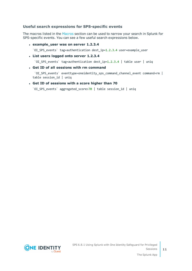## **Useful search expressions for SPS-specific events**

The macros listed in the [Macros](#page-9-1) section can be used to narrow your search in Splunk for SPS-specific events. You can see a few useful search expressions below.

<sup>l</sup> **example\_user was on server 1.2.3.4**

`OI SPS events` tag=authentication dest ip=1.2.3.4 user=example user

<sup>l</sup> **List users logged onto server 1.2.3.4**

`OI SPS events` tag=authentication dest ip=1.2.3.4 | table user | uniq

<sup>l</sup> **Get ID of all sessions with rm command**

`OI SPS events` eventtype=oneidentity sps command channel event command=rm | table session\_id | uniq

<sup>l</sup> **Get ID of sessions with a score higher than 70**

`OI\_SPS\_events` aggregated\_score>70 | table session\_id | uniq



**11**